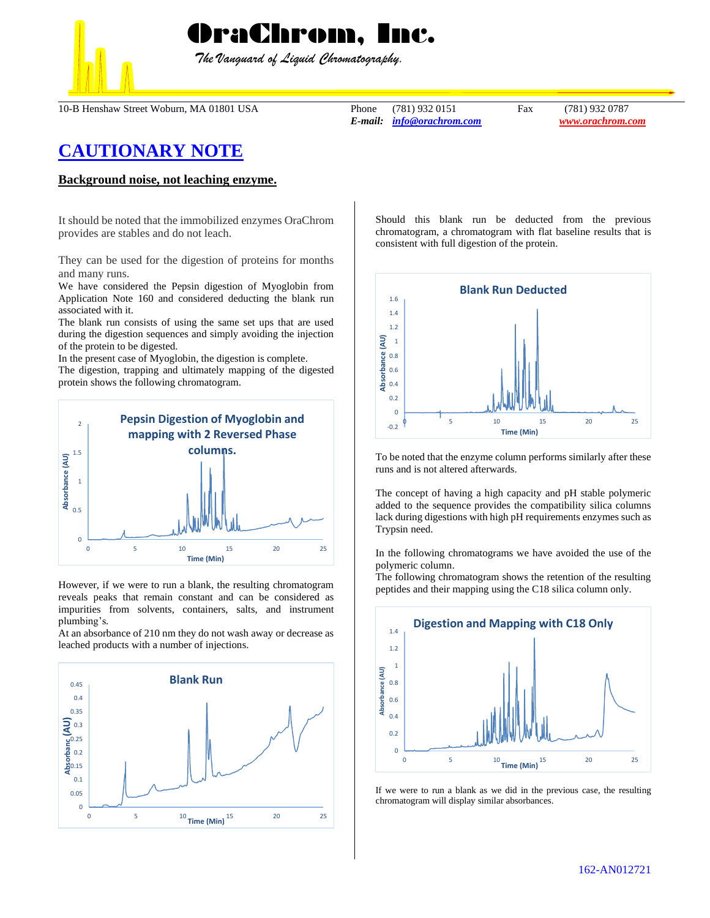## OraChrom, Inc.

 *The Vanguard of Liquid Chromatography.*

10-B Henshaw Street Woburn, MA 01801 USA Phone (781) 932 0151 Fax (781) 932 0787

*E-mail: [info@orachrom.com](mailto:info@orachrom.com) www.orachrom.com*

## **CAUTIONARY NOTE**

## **Background noise, not leaching enzyme.**

It should be noted that the immobilized enzymes OraChrom provides are stables and do not leach.

They can be used for the digestion of proteins for months and many runs.

We have considered the Pepsin digestion of Myoglobin from Application Note 160 and considered deducting the blank run associated with it.

The blank run consists of using the same set ups that are used during the digestion sequences and simply avoiding the injection of the protein to be digested.

In the present case of Myoglobin, the digestion is complete.

The digestion, trapping and ultimately mapping of the digested protein shows the following chromatogram.



However, if we were to run a blank, the resulting chromatogram reveals peaks that remain constant and can be considered as impurities from solvents, containers, salts, and instrument plumbing's.

At an absorbance of 210 nm they do not wash away or decrease as leached products with a number of injections.



Should this blank run be deducted from the previous chromatogram, a chromatogram with flat baseline results that is consistent with full digestion of the protein.



To be noted that the enzyme column performs similarly after these runs and is not altered afterwards.

The concept of having a high capacity and pH stable polymeric added to the sequence provides the compatibility silica columns lack during digestions with high pH requirements enzymes such as Trypsin need.

In the following chromatograms we have avoided the use of the polymeric column.

The following chromatogram shows the retention of the resulting peptides and their mapping using the C18 silica column only.



If we were to run a blank as we did in the previous case, the resulting chromatogram will display similar absorbances.